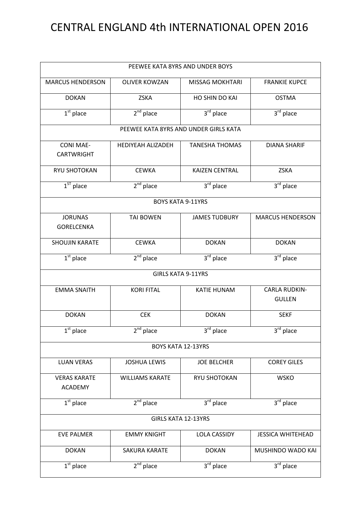## CENTRAL ENGLAND 4th INTERNATIONAL OPEN 2016

| PEEWEE KATA 8YRS AND UNDER BOYS       |                                       |                        |                                       |  |
|---------------------------------------|---------------------------------------|------------------------|---------------------------------------|--|
| <b>MARCUS HENDERSON</b>               | <b>OLIVER KOWZAN</b>                  | <b>MISSAG MOKHTARI</b> | <b>FRANKIE KUPCE</b>                  |  |
| <b>DOKAN</b>                          | <b>ZSKA</b>                           | HO SHIN DO KAI         | <b>OSTMA</b>                          |  |
| $\overline{1^{st}}$ place             | $2nd$ place                           | $3rd$ place            | $3rd$ place                           |  |
|                                       | PEEWEE KATA 8YRS AND UNDER GIRLS KATA |                        |                                       |  |
| <b>CONI MAE-</b><br><b>CARTWRIGHT</b> | <b>HEDIYEAH ALIZADEH</b>              | <b>TANESHA THOMAS</b>  | <b>DIANA SHARIF</b>                   |  |
| RYU SHOTOKAN                          | <b>CEWKA</b>                          | <b>KAIZEN CENTRAL</b>  | <b>ZSKA</b>                           |  |
| $1ST$ place                           | $2nd$ place                           | $3rd$ place            | $3rd$ place                           |  |
|                                       | <b>BOYS KATA 9-11YRS</b>              |                        |                                       |  |
| <b>JORUNAS</b><br><b>GORELCENKA</b>   | <b>TAI BOWEN</b>                      | <b>JAMES TUDBURY</b>   | <b>MARCUS HENDERSON</b>               |  |
| <b>SHOUJIN KARATE</b>                 | <b>CEWKA</b>                          | <b>DOKAN</b>           | <b>DOKAN</b>                          |  |
| $1st$ place                           | $2nd$ place                           | 3rd place              | $3rd$ place                           |  |
|                                       | <b>GIRLS KATA 9-11YRS</b>             |                        |                                       |  |
| <b>EMMA SNAITH</b>                    | <b>KORI FITAL</b>                     | <b>KATIE HUNAM</b>     | <b>CARLA RUDKIN-</b><br><b>GULLEN</b> |  |
| <b>DOKAN</b>                          | <b>CEK</b>                            | <b>DOKAN</b>           | <b>SEKF</b>                           |  |
| $1st$ place                           | $2nd$ place                           | $3^{\text{rd}}$ place  | $3^{\text{rd}}$ place                 |  |
|                                       | <b>BOYS KATA 12-13YRS</b>             |                        |                                       |  |
| <b>LUAN VERAS</b>                     | <b>JOSHUA LEWIS</b>                   | <b>JOE BELCHER</b>     | <b>COREY GILES</b>                    |  |
| <b>VERAS KARATE</b><br><b>ACADEMY</b> | <b>WILLIAMS KARATE</b>                | <b>RYU SHOTOKAN</b>    | <b>WSKO</b>                           |  |
| $1st$ place                           | $2nd$ place                           | 3rd place              | $3rd$ place                           |  |
| <b>GIRLS KATA 12-13YRS</b>            |                                       |                        |                                       |  |
| <b>EVE PALMER</b>                     | <b>EMMY KNIGHT</b>                    | <b>LOLA CASSIDY</b>    | <b>JESSICA WHITEHEAD</b>              |  |
| <b>DOKAN</b>                          | SAKURA KARATE                         | <b>DOKAN</b>           | MUSHINDO WADO KAI                     |  |
| $1st$ place                           | $2nd$ place                           | 3rd place              | $3rd$ place                           |  |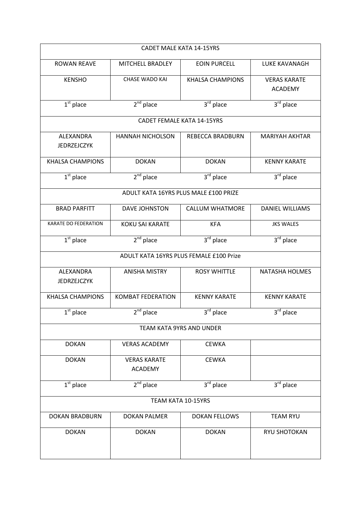|                                 | <b>CADET MALE KATA 14-15YRS</b>         |                                  |                                       |  |  |
|---------------------------------|-----------------------------------------|----------------------------------|---------------------------------------|--|--|
| <b>ROWAN REAVE</b>              | MITCHELL BRADLEY                        | <b>EOIN PURCELL</b>              | <b>LUKE KAVANAGH</b>                  |  |  |
| <b>KENSHO</b>                   | <b>CHASE WADO KAI</b>                   | <b>KHALSA CHAMPIONS</b>          | <b>VERAS KARATE</b><br><b>ACADEMY</b> |  |  |
| $\overline{1^{st}}$ place       | $2nd$ place                             | $3rd$ place                      | 3rd place                             |  |  |
|                                 | <b>CADET FEMALE KATA 14-15YRS</b>       |                                  |                                       |  |  |
| ALEXANDRA<br><b>JEDRZEJCZYK</b> | <b>HANNAH NICHOLSON</b>                 | REBECCA BRADBURN                 | <b>MARIYAH AKHTAR</b>                 |  |  |
| <b>KHALSA CHAMPIONS</b>         | <b>DOKAN</b>                            | <b>DOKAN</b>                     | <b>KENNY KARATE</b>                   |  |  |
| $1st$ place                     | $2nd$ place                             | $3rd$ place                      | $3rd$ place                           |  |  |
|                                 | ADULT KATA 16YRS PLUS MALE £100 PRIZE   |                                  |                                       |  |  |
| <b>BRAD PARFITT</b>             | <b>DAVE JOHNSTON</b>                    | <b>CALLUM WHATMORE</b>           | <b>DANIEL WILLIAMS</b>                |  |  |
| KARATE DO FEDERATION            | <b>KOKU SAI KARATE</b>                  | <b>KFA</b>                       | <b>JKS WALES</b>                      |  |  |
| $\overline{1^{st}}$ place       | $2nd$ place                             | $3rd$ place                      | $3rd$ place                           |  |  |
|                                 | ADULT KATA 16YRS PLUS FEMALE £100 Prize |                                  |                                       |  |  |
| ALEXANDRA<br><b>JEDRZEJCZYK</b> | <b>ANISHA MISTRY</b>                    | <b>ROSY WHITTLE</b>              | <b>NATASHA HOLMES</b>                 |  |  |
| <b>KHALSA CHAMPIONS</b>         | <b>KOMBAT FEDERATION</b>                | <b>KENNY KARATE</b>              | <b>KENNY KARATE</b>                   |  |  |
| $1st$ place                     | $2nd$ place                             | 3rd place                        | 3 <sup>rd</sup> place                 |  |  |
|                                 | TEAM KATA 9YRS AND UNDER                |                                  |                                       |  |  |
| <b>DOKAN</b>                    | <b>VERAS ACADEMY</b>                    | <b>CEWKA</b>                     |                                       |  |  |
| <b>DOKAN</b>                    | <b>VERAS KARATE</b><br><b>ACADEMY</b>   | <b>CEWKA</b>                     |                                       |  |  |
| $1st$ place                     | $2nd$ place                             | $3^{\overline{\text{rd}}}$ place | $3^{\overline{\text{rd}}}$ place      |  |  |
|                                 | TEAM KATA 10-15YRS                      |                                  |                                       |  |  |
| <b>DOKAN BRADBURN</b>           | <b>DOKAN PALMER</b>                     | <b>DOKAN FELLOWS</b>             | <b>TEAM RYU</b>                       |  |  |
| <b>DOKAN</b>                    | <b>DOKAN</b>                            | <b>DOKAN</b>                     | RYU SHOTOKAN                          |  |  |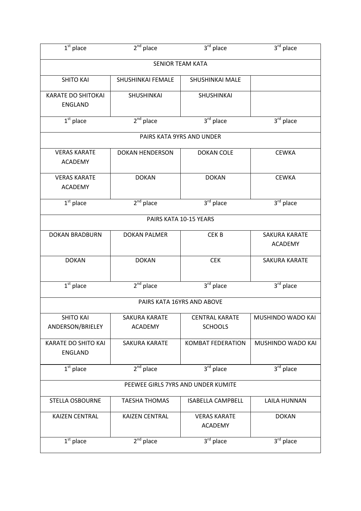| $\overline{1^{st}}$ place                   | $2nd$ place                            | 3rd place                               | $3rd$ place                      |  |
|---------------------------------------------|----------------------------------------|-----------------------------------------|----------------------------------|--|
|                                             |                                        | <b>SENIOR TEAM KATA</b>                 |                                  |  |
| <b>SHITO KAI</b>                            | SHUSHINKAI FEMALE                      | <b>SHUSHINKAI MALE</b>                  |                                  |  |
| <b>KARATE DO SHITOKAI</b><br><b>ENGLAND</b> | SHUSHINKAI                             | SHUSHINKAI                              |                                  |  |
| $1st$ place                                 | $2nd$ place                            | 3rd place                               | $3^{\overline{\text{rd}}}$ place |  |
|                                             |                                        | PAIRS KATA 9YRS AND UNDER               |                                  |  |
| <b>VERAS KARATE</b><br><b>ACADEMY</b>       | <b>DOKAN HENDERSON</b>                 | <b>DOKAN COLE</b>                       | <b>CEWKA</b>                     |  |
| <b>VERAS KARATE</b><br><b>ACADEMY</b>       | <b>DOKAN</b>                           | <b>DOKAN</b>                            | <b>CEWKA</b>                     |  |
| $\overline{1^{st}}$ place                   | $2nd$ place                            | $3rd$ place                             | $3rd$ place                      |  |
|                                             |                                        | PAIRS KATA 10-15 YEARS                  |                                  |  |
| <b>DOKAN BRADBURN</b>                       | <b>DOKAN PALMER</b>                    | CEK <sub>B</sub>                        | SAKURA KARATE<br><b>ACADEMY</b>  |  |
| <b>DOKAN</b>                                | <b>DOKAN</b>                           | <b>CEK</b>                              | <b>SAKURA KARATE</b>             |  |
| $1st$ place                                 | $2^{nd}$ place                         | 3rd place                               | $3rd$ place                      |  |
|                                             |                                        | PAIRS KATA 16YRS AND ABOVE              |                                  |  |
| <b>SHITO KAI</b><br>ANDERSON/BRIELEY        | <b>SAKURA KARATE</b><br><b>ACADEMY</b> | <b>CENTRAL KARATE</b><br><b>SCHOOLS</b> | MUSHINDO WADO KAI                |  |
| KARATE DO SHITO KAI<br><b>ENGLAND</b>       | SAKURA KARATE                          | <b>KOMBAT FEDERATION</b>                | MUSHINDO WADO KAI                |  |
| $1st$ place                                 | $2nd$ place                            | $3rd$ place                             | $3rd$ place                      |  |
| PEEWEE GIRLS 7YRS AND UNDER KUMITE          |                                        |                                         |                                  |  |
| <b>STELLA OSBOURNE</b>                      | <b>TAESHA THOMAS</b>                   | <b>ISABELLA CAMPBELL</b>                | LAILA HUNNAN                     |  |
| <b>KAIZEN CENTRAL</b>                       | <b>KAIZEN CENTRAL</b>                  | <b>VERAS KARATE</b><br><b>ACADEMY</b>   | <b>DOKAN</b>                     |  |
| $\overline{1^{st}}$ place                   | $2nd$ place                            | $3rd$ place                             | $3^{\overline{\text{rd}}}$ place |  |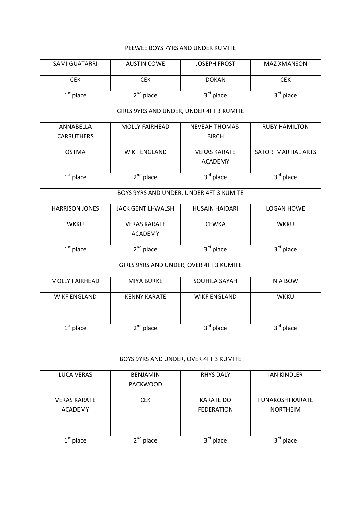| PEEWEE BOYS 7YRS AND UNDER KUMITE |                                          |                                       |                            |  |
|-----------------------------------|------------------------------------------|---------------------------------------|----------------------------|--|
| <b>SAMI GUATARRI</b>              | <b>AUSTIN COWE</b>                       | <b>JOSEPH FROST</b>                   | <b>MAZ XMANSON</b>         |  |
| <b>CEK</b>                        | <b>CEK</b>                               | <b>DOKAN</b>                          | <b>CEK</b>                 |  |
| $1st$ place                       | $2nd$ place                              | 3rd place                             | 3rd place                  |  |
|                                   | GIRLS 9YRS AND UNDER, UNDER 4FT 3 KUMITE |                                       |                            |  |
| ANNABELLA<br><b>CARRUTHERS</b>    | <b>MOLLY FAIRHEAD</b>                    | <b>NEVEAH THOMAS-</b><br><b>BIRCH</b> | <b>RUBY HAMILTON</b>       |  |
| <b>OSTMA</b>                      | <b>WIKF ENGLAND</b>                      | <b>VERAS KARATE</b><br><b>ACADEMY</b> | <b>SATORI MARTIAL ARTS</b> |  |
| $\overline{1^{st}}$ place         | $2nd$ place                              | $3rd$ place                           | $3rd$ place                |  |
|                                   | BOYS 9YRS AND UNDER, UNDER 4FT 3 KUMITE  |                                       |                            |  |
| <b>HARRISON JONES</b>             | <b>JACK GENTILI-WALSH</b>                | <b>HUSAIN HAIDARI</b>                 | <b>LOGAN HOWE</b>          |  |
| <b>WKKU</b>                       | <b>VERAS KARATE</b><br><b>ACADEMY</b>    | <b>CEWKA</b>                          | <b>WKKU</b>                |  |
| $1st$ place                       | $2nd$ place                              | $3rd$ place                           | $3rd$ place                |  |
|                                   | GIRLS 9YRS AND UNDER, OVER 4FT 3 KUMITE  |                                       |                            |  |
| <b>MOLLY FAIRHEAD</b>             | <b>MIYA BURKE</b>                        | SOUHILA SAYAH                         | <b>NIA BOW</b>             |  |
| <b>WIKF ENGLAND</b>               | <b>KENNY KARATE</b>                      | <b>WIKF ENGLAND</b>                   | <b>WKKU</b>                |  |
| $1st$ place                       | $2nd$ place                              | $3rd$ place                           | $3rd$ place                |  |
|                                   |                                          |                                       |                            |  |
|                                   | BOYS 9YRS AND UNDER, OVER 4FT 3 KUMITE   |                                       |                            |  |
| <b>LUCA VERAS</b>                 | <b>BENJAMIN</b><br><b>PACKWOOD</b>       | <b>RHYS DALY</b>                      | <b>IAN KINDLER</b>         |  |
| <b>VERAS KARATE</b>               | <b>CEK</b>                               | <b>KARATE DO</b>                      | <b>FUNAKOSHI KARATE</b>    |  |
| <b>ACADEMY</b>                    |                                          | <b>FEDERATION</b>                     | <b>NORTHEIM</b>            |  |
| $1st$ place                       | $2nd$ place                              | 3rd place                             | $3rd$ place                |  |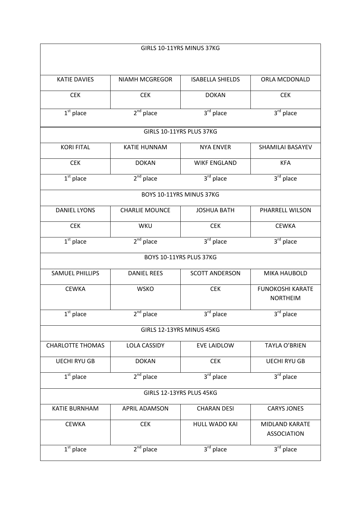| GIRLS 10-11YRS MINUS 37KG |                           |                         |                                             |  |
|---------------------------|---------------------------|-------------------------|---------------------------------------------|--|
|                           |                           |                         |                                             |  |
| <b>KATIE DAVIES</b>       | <b>NIAMH MCGREGOR</b>     | <b>ISABELLA SHIELDS</b> | ORLA MCDONALD                               |  |
| <b>CEK</b>                | <b>CEK</b>                | <b>DOKAN</b>            | <b>CEK</b>                                  |  |
| $\overline{1^{st}}$ place | $2nd$ place               | 3rd place               | $3rd$ place                                 |  |
|                           | GIRLS 10-11YRS PLUS 37KG  |                         |                                             |  |
| <b>KORI FITAL</b>         | <b>KATIE HUNNAM</b>       | <b>NYA ENVER</b>        | SHAMILAI BASAYEV                            |  |
| <b>CEK</b>                | <b>DOKAN</b>              | <b>WIKF ENGLAND</b>     | <b>KFA</b>                                  |  |
| $\overline{1^{st}}$ place | $2nd$ place               | 3rd place               | $3rd$ place                                 |  |
|                           | BOYS 10-11YRS MINUS 37KG  |                         |                                             |  |
| <b>DANIEL LYONS</b>       | <b>CHARLIE MOUNCE</b>     | <b>JOSHUA BATH</b>      | PHARRELL WILSON                             |  |
| <b>CEK</b>                | WKU                       | <b>CEK</b>              | <b>CEWKA</b>                                |  |
| $\overline{1^{st}}$ place | $2nd$ place               | 3rd place               | 3rd place                                   |  |
|                           | BOYS 10-11YRS PLUS 37KG   |                         |                                             |  |
| <b>SAMUEL PHILLIPS</b>    | <b>DANIEL REES</b>        | <b>SCOTT ANDERSON</b>   | <b>MIKA HAUBOLD</b>                         |  |
| <b>CEWKA</b>              | <b>WSKO</b>               | <b>CEK</b>              | <b>FUNOKOSHI KARATE</b><br><b>NORTHEIM</b>  |  |
| $\overline{1^{st}}$ place | $2nd$ place               | $3^{\text{rd}}$ place   | $3^{\overline{\text{rd}}}$ place            |  |
|                           | GIRLS 12-13YRS MINUS 45KG |                         |                                             |  |
| <b>CHARLOTTE THOMAS</b>   | <b>LOLA CASSIDY</b>       | <b>EVE LAIDLOW</b>      | <b>TAYLA O'BRIEN</b>                        |  |
| <b>UECHI RYU GB</b>       | <b>DOKAN</b>              | <b>CEK</b>              | <b>UECHI RYU GB</b>                         |  |
| $\overline{1^{st}}$ place | $2nd$ place               | 3rd place               | $3rd$ place                                 |  |
| GIRLS 12-13YRS PLUS 45KG  |                           |                         |                                             |  |
| <b>KATIE BURNHAM</b>      | <b>APRIL ADAMSON</b>      | <b>CHARAN DESI</b>      | <b>CARYS JONES</b>                          |  |
| <b>CEWKA</b>              | <b>CEK</b>                | HULL WADO KAI           | <b>MIDLAND KARATE</b><br><b>ASSOCIATION</b> |  |
| $\overline{1^{st}}$ place | $2nd$ place               | 3rd place               | 3rd place                                   |  |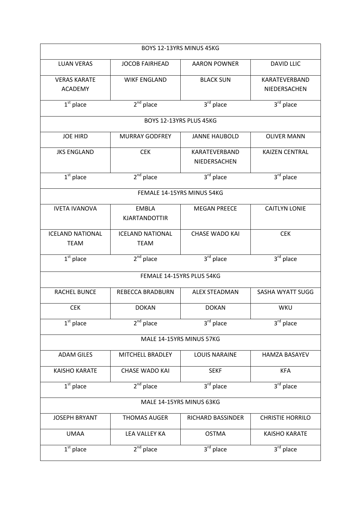| BOYS 12-13YRS MINUS 45KG               |                                        |                               |                               |  |
|----------------------------------------|----------------------------------------|-------------------------------|-------------------------------|--|
| <b>LUAN VERAS</b>                      | <b>JOCOB FAIRHEAD</b>                  | <b>AARON POWNER</b>           | <b>DAVID LLIC</b>             |  |
| <b>VERAS KARATE</b><br><b>ACADEMY</b>  | <b>WIKF ENGLAND</b>                    | <b>BLACK SUN</b>              | KARATEVERBAND<br>NIEDERSACHEN |  |
| $1st$ place                            | $2nd$ place                            | $3rd$ place                   | 3rd place                     |  |
|                                        | BOYS 12-13YRS PLUS 45KG                |                               |                               |  |
| <b>JOE HIRD</b>                        | <b>MURRAY GODFREY</b>                  | <b>JANNE HAUBOLD</b>          | <b>OLIVER MANN</b>            |  |
| <b>JKS ENGLAND</b>                     | <b>CEK</b>                             | KARATEVERBAND<br>NIEDERSACHEN | <b>KAIZEN CENTRAL</b>         |  |
| $1st$ place                            | $2nd$ place                            | 3rd place                     | $3rd$ place                   |  |
|                                        | FEMALE 14-15YRS MINUS 54KG             |                               |                               |  |
| <b>IVETA IVANOVA</b>                   | <b>EMBLA</b><br><b>KJARTANDOTTIR</b>   | <b>MEGAN PREECE</b>           | <b>CAITLYN LONIE</b>          |  |
| <b>ICELAND NATIONAL</b><br><b>TEAM</b> | <b>ICELAND NATIONAL</b><br><b>TEAM</b> | <b>CHASE WADO KAI</b>         | <b>CEK</b>                    |  |
| $1st$ place                            | $2nd$ place                            | 3rd place                     | $3rd$ place                   |  |
|                                        | FEMALE 14-15YRS PLUS 54KG              |                               |                               |  |
| <b>RACHEL BUNCE</b>                    | REBECCA BRADBURN                       | <b>ALEX STEADMAN</b>          | SASHA WYATT SUGG              |  |
| <b>CEK</b>                             | <b>DOKAN</b>                           | <b>DOKAN</b>                  | <b>WKU</b>                    |  |
| $\overline{1^{st}}$ place              | $2nd$ place                            | $3rd$ place                   | $3rd$ place                   |  |
|                                        | MALE 14-15YRS MINUS 57KG               |                               |                               |  |
| <b>ADAM GILES</b>                      | MITCHELL BRADLEY                       | <b>LOUIS NARAINE</b>          | <b>HAMZA BASAYEV</b>          |  |
| <b>KAISHO KARATE</b>                   | <b>CHASE WADO KAI</b>                  | <b>SEKF</b>                   | <b>KFA</b>                    |  |
| $1st$ place                            | $2nd$ place                            | 3rd place                     | 3rd place                     |  |
| MALE 14-15YRS MINUS 63KG               |                                        |                               |                               |  |
| <b>JOSEPH BRYANT</b>                   | <b>THOMAS AUGER</b>                    | RICHARD BASSINDER             | <b>CHRISTIE HORRILO</b>       |  |
|                                        |                                        |                               |                               |  |
| <b>UMAA</b>                            | LEA VALLEY KA                          | <b>OSTMA</b>                  | <b>KAISHO KARATE</b>          |  |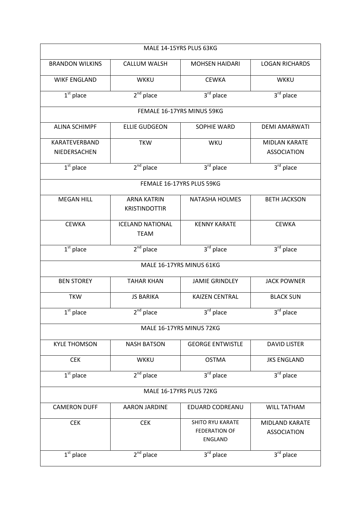| MALE 14-15YRS PLUS 63KG       |                                            |                                                                   |                                            |  |  |
|-------------------------------|--------------------------------------------|-------------------------------------------------------------------|--------------------------------------------|--|--|
| <b>BRANDON WILKINS</b>        | <b>CALLUM WALSH</b>                        | <b>MOHSEN HAIDARI</b>                                             | <b>LOGAN RICHARDS</b>                      |  |  |
| <b>WIKF ENGLAND</b>           | <b>WKKU</b>                                | <b>CEWKA</b>                                                      | <b>WKKU</b>                                |  |  |
| $1st$ place                   | $2nd$ place                                | $3rd$ place                                                       | 3rd place                                  |  |  |
|                               |                                            | FEMALE 16-17YRS MINUS 59KG                                        |                                            |  |  |
| <b>ALINA SCHIMPF</b>          | <b>ELLIE GUDGEON</b>                       | SOPHIE WARD                                                       | <b>DEMI AMARWATI</b>                       |  |  |
| KARATEVERBAND<br>NIEDERSACHEN | <b>TKW</b>                                 | WKU                                                               | <b>MIDLAN KARATE</b><br><b>ASSOCIATION</b> |  |  |
| $1st$ place                   | $2nd$ place                                | 3rd place                                                         | $3rd$ place                                |  |  |
|                               |                                            | FEMALE 16-17YRS PLUS 59KG                                         |                                            |  |  |
| <b>MEGAN HILL</b>             | <b>ARNA KATRIN</b><br><b>KRISTINDOTTIR</b> | <b>NATASHA HOLMES</b>                                             | <b>BETH JACKSON</b>                        |  |  |
| <b>CEWKA</b>                  | <b>ICELAND NATIONAL</b><br><b>TEAM</b>     | <b>KENNY KARATE</b>                                               | <b>CEWKA</b>                               |  |  |
| $1st$ place                   | $2nd$ place                                | 3rd place                                                         | $3rd$ place                                |  |  |
| MALE 16-17YRS MINUS 61KG      |                                            |                                                                   |                                            |  |  |
| <b>BEN STOREY</b>             | <b>TAHAR KHAN</b>                          | <b>JAMIE GRINDLEY</b>                                             | <b>JACK POWNER</b>                         |  |  |
| <b>TKW</b>                    | <b>JS BARIKA</b>                           | <b>KAIZEN CENTRAL</b>                                             | <b>BLACK SUN</b>                           |  |  |
| $1st$ place                   | $2^{nd}$ place                             | 3rd place                                                         | 3 <sup>rd</sup> place                      |  |  |
|                               |                                            | MALE 16-17YRS MINUS 72KG                                          |                                            |  |  |
| <b>KYLE THOMSON</b>           | <b>NASH BATSON</b>                         | <b>GEORGE ENTWISTLE</b>                                           | <b>DAVID LISTER</b>                        |  |  |
| <b>CEK</b>                    | WKKU                                       | <b>OSTMA</b>                                                      | <b>JKS ENGLAND</b>                         |  |  |
| $1st$ place                   | $2nd$ place                                | 3rd place                                                         | 3rd place                                  |  |  |
| MALE 16-17YRS PLUS 72KG       |                                            |                                                                   |                                            |  |  |
| <b>CAMERON DUFF</b>           | <b>AARON JARDINE</b>                       | <b>EDUARD CODREANU</b>                                            | <b>WILL TATHAM</b>                         |  |  |
| <b>CEK</b>                    | <b>CEK</b>                                 | <b>SHITO RYU KARATE</b><br><b>FEDERATION OF</b><br><b>ENGLAND</b> | MIDLAND KARATE<br><b>ASSOCIATION</b>       |  |  |
| $1st$ place                   | $2nd$ place                                | $3rd$ place                                                       | $3rd$ place                                |  |  |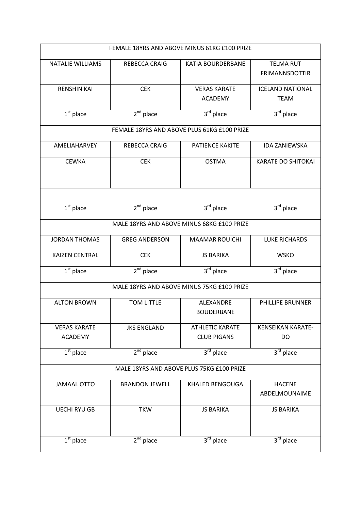|                         | FEMALE 18YRS AND ABOVE MINUS 61KG £100 PRIZE |                                             |                                           |  |  |
|-------------------------|----------------------------------------------|---------------------------------------------|-------------------------------------------|--|--|
| <b>NATALIE WILLIAMS</b> | REBECCA CRAIG                                | KATIA BOURDERBANE                           | <b>TELMA RUT</b><br><b>FRIMANNSDOTTIR</b> |  |  |
| <b>RENSHIN KAI</b>      | <b>CEK</b>                                   | <b>VERAS KARATE</b>                         | <b>ICELAND NATIONAL</b>                   |  |  |
|                         |                                              | <b>ACADEMY</b>                              | <b>TEAM</b>                               |  |  |
| $1st$ place             | $2nd$ place                                  | 3rd place                                   | $3rd$ place                               |  |  |
|                         |                                              | FEMALE 18YRS AND ABOVE PLUS 61KG £100 PRIZE |                                           |  |  |
| AMELIAHARVEY            | REBECCA CRAIG                                | PATIENCE KAKITE                             | <b>IDA ZANIEWSKA</b>                      |  |  |
| <b>CEWKA</b>            | <b>CEK</b>                                   | <b>OSTMA</b>                                | <b>KARATE DO SHITOKAI</b>                 |  |  |
| $1st$ place             | $2nd$ place                                  | $3rd$ place                                 | $3rd$ place                               |  |  |
|                         |                                              | MALE 18YRS AND ABOVE MINUS 68KG £100 PRIZE  |                                           |  |  |
| <b>JORDAN THOMAS</b>    | <b>GREG ANDERSON</b>                         | <b>MAAMAR ROUICHI</b>                       | <b>LUKE RICHARDS</b>                      |  |  |
| <b>KAIZEN CENTRAL</b>   | <b>CEK</b>                                   | <b>JS BARIKA</b>                            | <b>WSKO</b>                               |  |  |
| $1st$ place             | $2nd$ place                                  | $3rd$ place                                 | 3rd place                                 |  |  |
|                         |                                              | MALE 18YRS AND ABOVE MINUS 75KG £100 PRIZE  |                                           |  |  |
| <b>ALTON BROWN</b>      | <b>TOM LITTLE</b>                            | ALEXANDRE<br><b>BOUDERBANE</b>              | PHILLIPE BRUNNER                          |  |  |
| <b>VERAS KARATE</b>     | <b>JKS ENGLAND</b>                           | <b>ATHLETIC KARATE</b>                      | <b>KENSEIKAN KARATE-</b>                  |  |  |
| <b>ACADEMY</b>          |                                              | <b>CLUB PIGANS</b>                          | DO                                        |  |  |
| $1st$ place             | $2nd$ place                                  | $3rd$ place                                 | $3rd$ place                               |  |  |
|                         |                                              | MALE 18YRS AND ABOVE PLUS 75KG £100 PRIZE   |                                           |  |  |
| <b>JAMAAL OTTO</b>      | <b>BRANDON JEWELL</b>                        | KHALED BENGOUGA                             | <b>HACENE</b><br>ABDELMOUNAIME            |  |  |
| <b>UECHI RYU GB</b>     | <b>TKW</b>                                   | <b>JS BARIKA</b>                            | <b>JS BARIKA</b>                          |  |  |
| $1st$ place             | $2nd$ place                                  | $\overline{3}^{\text{rd}}$ place            | $3rd$ place                               |  |  |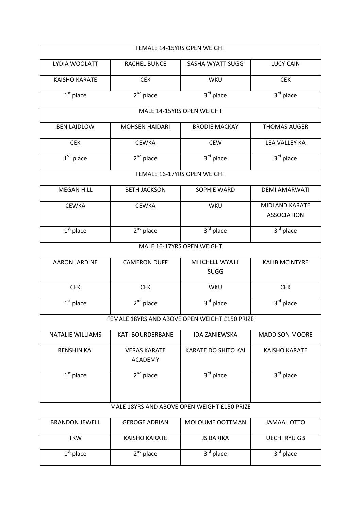|                                             | FEMALE 14-15YRS OPEN WEIGHT           |                                               |                                      |  |  |
|---------------------------------------------|---------------------------------------|-----------------------------------------------|--------------------------------------|--|--|
| LYDIA WOOLATT                               | <b>RACHEL BUNCE</b>                   | SASHA WYATT SUGG                              | <b>LUCY CAIN</b>                     |  |  |
| <b>KAISHO KARATE</b>                        | <b>CEK</b>                            | <b>WKU</b>                                    | <b>CEK</b>                           |  |  |
| $1st$ place                                 | $2nd$ place                           | $3rd$ place                                   | 3rd place                            |  |  |
|                                             |                                       | MALE 14-15YRS OPEN WEIGHT                     |                                      |  |  |
| <b>BEN LAIDLOW</b>                          | <b>MOHSEN HAIDARI</b>                 | <b>BRODIE MACKAY</b>                          | <b>THOMAS AUGER</b>                  |  |  |
| <b>CEK</b>                                  | <b>CEWKA</b>                          | <b>CEW</b>                                    | <b>LEA VALLEY KA</b>                 |  |  |
| $\overline{1^{ST}}$ place                   | $2nd$ place                           | 3rd place                                     | 3rd place                            |  |  |
|                                             |                                       | FEMALE 16-17YRS OPEN WEIGHT                   |                                      |  |  |
| <b>MEGAN HILL</b>                           | <b>BETH JACKSON</b>                   | <b>SOPHIE WARD</b>                            | <b>DEMI AMARWATI</b>                 |  |  |
| <b>CEWKA</b>                                | <b>CEWKA</b>                          | WKU                                           | MIDLAND KARATE<br><b>ASSOCIATION</b> |  |  |
| $1st$ place                                 | $2nd$ place                           | 3rd place                                     | $3rd$ place                          |  |  |
|                                             |                                       | MALE 16-17YRS OPEN WEIGHT                     |                                      |  |  |
| <b>AARON JARDINE</b>                        | <b>CAMERON DUFF</b>                   | MITCHELL WYATT<br><b>SUGG</b>                 | <b>KALIB MCINTYRE</b>                |  |  |
| <b>CEK</b>                                  | <b>CEK</b>                            | WKU                                           | <b>CEK</b>                           |  |  |
| $\overline{1}^{\text{st}}$ place            | $2nd$ place                           | 3rd place                                     | 3rd place                            |  |  |
|                                             |                                       | FEMALE 18YRS AND ABOVE OPEN WEIGHT £150 PRIZE |                                      |  |  |
| <b>NATALIE WILLIAMS</b>                     | <b>KATI BOURDERBANE</b>               | <b>IDA ZANIEWSKA</b>                          | <b>MADDISON MOORE</b>                |  |  |
| <b>RENSHIN KAI</b>                          | <b>VERAS KARATE</b><br><b>ACADEMY</b> | <b>KARATE DO SHITO KAI</b>                    | <b>KAISHO KARATE</b>                 |  |  |
| $\overline{1^{st}}$ place                   | $2nd$ place                           | 3rd place                                     | 3rd place                            |  |  |
| MALE 18YRS AND ABOVE OPEN WEIGHT £150 PRIZE |                                       |                                               |                                      |  |  |
| <b>BRANDON JEWELL</b>                       | <b>GEROGE ADRIAN</b>                  | MOLOUME OOTTMAN                               | <b>JAMAAL OTTO</b>                   |  |  |
| <b>TKW</b>                                  | <b>KAISHO KARATE</b>                  | <b>JS BARIKA</b>                              | <b>UECHI RYU GB</b>                  |  |  |
| $1st$ place                                 | $2nd$ place                           | $3rd$ place                                   | $3rd$ place                          |  |  |